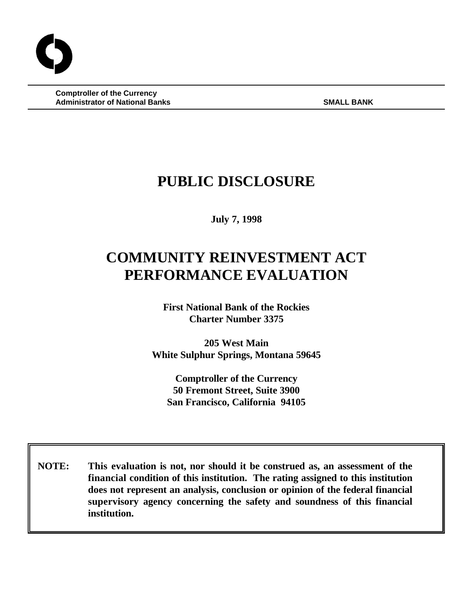**Comptroller of the Currency Administrator of National Banks SMALL BANK** 

# **PUBLIC DISCLOSURE**

**July 7, 1998**

# **COMMUNITY REINVESTMENT ACT PERFORMANCE EVALUATION**

**First National Bank of the Rockies Charter Number 3375**

**205 West Main White Sulphur Springs, Montana 59645**

**Comptroller of the Currency 50 Fremont Street, Suite 3900 San Francisco, California 94105**

 **NOTE: This evaluation is not, nor should it be construed as, an assessment of the financial condition of this institution. The rating assigned to this institution does not represent an analysis, conclusion or opinion of the federal financial supervisory agency concerning the safety and soundness of this financial institution.**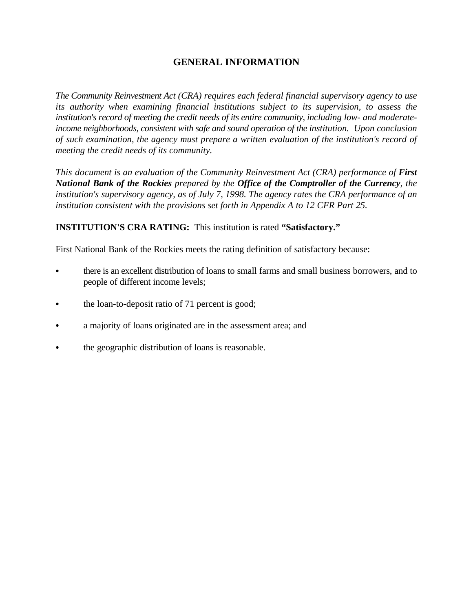# **GENERAL INFORMATION**

*The Community Reinvestment Act (CRA) requires each federal financial supervisory agency to use its authority when examining financial institutions subject to its supervision, to assess the institution's record of meeting the credit needs of its entire community, including low- and moderateincome neighborhoods, consistent with safe and sound operation of the institution. Upon conclusion of such examination, the agency must prepare a written evaluation of the institution's record of meeting the credit needs of its community.* 

*This document is an evaluation of the Community Reinvestment Act (CRA) performance of First National Bank of the Rockies prepared by the Office of the Comptroller of the Currency, the institution's supervisory agency, as of July 7, 1998. The agency rates the CRA performance of an institution consistent with the provisions set forth in Appendix A to 12 CFR Part 25.*

# **INSTITUTION'S CRA RATING:** This institution is rated **"Satisfactory."**

First National Bank of the Rockies meets the rating definition of satisfactory because:

- there is an excellent distribution of loans to small farms and small business borrowers, and to people of different income levels;
- the loan-to-deposit ratio of 71 percent is good;
- a majority of loans originated are in the assessment area; and
- the geographic distribution of loans is reasonable.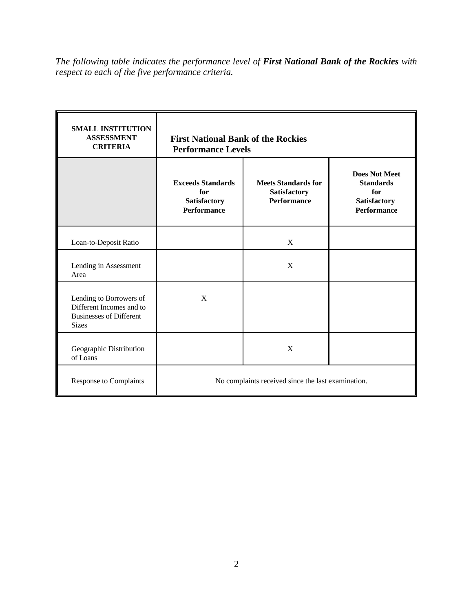*The following table indicates the performance level of First National Bank of the Rockies with respect to each of the five performance criteria.*

| <b>SMALL INSTITUTION</b><br><b>ASSESSMENT</b><br><b>CRITERIA</b>                                      | <b>First National Bank of the Rockies</b><br><b>Performance Levels</b> |                                                                  |                                                                                              |
|-------------------------------------------------------------------------------------------------------|------------------------------------------------------------------------|------------------------------------------------------------------|----------------------------------------------------------------------------------------------|
|                                                                                                       | <b>Exceeds Standards</b><br>for<br>Satisfactory<br><b>Performance</b>  | <b>Meets Standards for</b><br>Satisfactory<br><b>Performance</b> | <b>Does Not Meet</b><br><b>Standards</b><br>for<br><b>Satisfactory</b><br><b>Performance</b> |
| Loan-to-Deposit Ratio                                                                                 |                                                                        | $\mathbf{X}$                                                     |                                                                                              |
| Lending in Assessment<br>Area                                                                         |                                                                        | X                                                                |                                                                                              |
| Lending to Borrowers of<br>Different Incomes and to<br><b>Businesses of Different</b><br><b>Sizes</b> | X                                                                      |                                                                  |                                                                                              |
| Geographic Distribution<br>of Loans                                                                   |                                                                        | X                                                                |                                                                                              |
| <b>Response to Complaints</b>                                                                         | No complaints received since the last examination.                     |                                                                  |                                                                                              |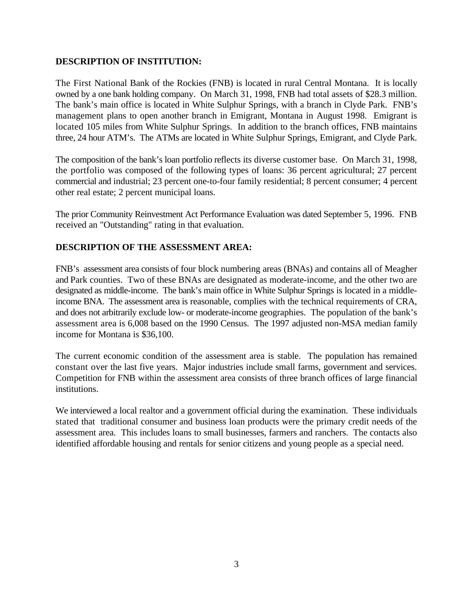# **DESCRIPTION OF INSTITUTION:**

The First National Bank of the Rockies (FNB) is located in rural Central Montana. It is locally owned by a one bank holding company. On March 31, 1998, FNB had total assets of \$28.3 million. The bank's main office is located in White Sulphur Springs, with a branch in Clyde Park. FNB's management plans to open another branch in Emigrant, Montana in August 1998. Emigrant is located 105 miles from White Sulphur Springs. In addition to the branch offices, FNB maintains three, 24 hour ATM's. The ATMs are located in White Sulphur Springs, Emigrant, and Clyde Park.

The composition of the bank's loan portfolio reflects its diverse customer base. On March 31, 1998, the portfolio was composed of the following types of loans: 36 percent agricultural; 27 percent commercial and industrial; 23 percent one-to-four family residential; 8 percent consumer; 4 percent other real estate; 2 percent municipal loans.

The prior Community Reinvestment Act Performance Evaluation was dated September 5, 1996. FNB received an "Outstanding" rating in that evaluation.

# **DESCRIPTION OF THE ASSESSMENT AREA:**

FNB's assessment area consists of four block numbering areas (BNAs) and contains all of Meagher and Park counties. Two of these BNAs are designated as moderate-income, and the other two are designated as middle-income. The bank's main office in White Sulphur Springs is located in a middleincome BNA. The assessment area is reasonable, complies with the technical requirements of CRA, and does not arbitrarily exclude low- or moderate-income geographies. The population of the bank's assessment area is 6,008 based on the 1990 Census. The 1997 adjusted non-MSA median family income for Montana is \$36,100.

The current economic condition of the assessment area is stable. The population has remained constant over the last five years. Major industries include small farms, government and services. Competition for FNB within the assessment area consists of three branch offices of large financial institutions.

We interviewed a local realtor and a government official during the examination. These individuals stated that traditional consumer and business loan products were the primary credit needs of the assessment area. This includes loans to small businesses, farmers and ranchers. The contacts also identified affordable housing and rentals for senior citizens and young people as a special need.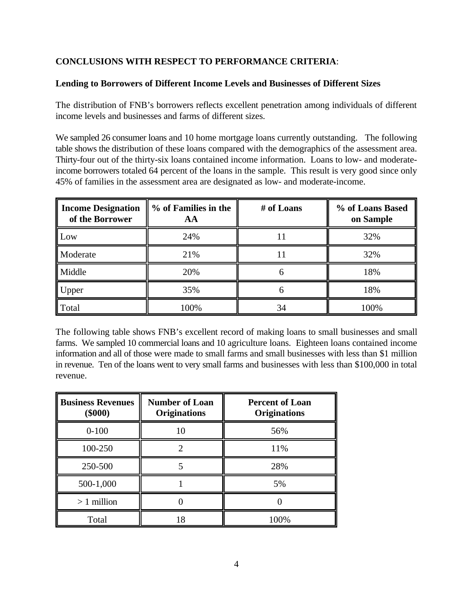# **CONCLUSIONS WITH RESPECT TO PERFORMANCE CRITERIA**:

# **Lending to Borrowers of Different Income Levels and Businesses of Different Sizes**

The distribution of FNB's borrowers reflects excellent penetration among individuals of different income levels and businesses and farms of different sizes.

We sampled 26 consumer loans and 10 home mortgage loans currently outstanding. The following table shows the distribution of these loans compared with the demographics of the assessment area. Thirty-four out of the thirty-six loans contained income information. Loans to low- and moderateincome borrowers totaled 64 percent of the loans in the sample. This result is very good since only 45% of families in the assessment area are designated as low- and moderate-income.

| <b>Income Designation</b><br>of the Borrower | % of Families in the<br>AА | # of Loans | % of Loans Based<br>on Sample |
|----------------------------------------------|----------------------------|------------|-------------------------------|
| Low                                          | 24%                        |            | 32%                           |
| Moderate                                     | 21%                        |            | 32%                           |
| Middle                                       | 20%                        |            | 18%                           |
| Upper                                        | 35%                        | n          | 18%                           |
| Total                                        | 100%                       | 34         | 100%                          |

The following table shows FNB's excellent record of making loans to small businesses and small farms. We sampled 10 commercial loans and 10 agriculture loans. Eighteen loans contained income information and all of those were made to small farms and small businesses with less than \$1 million in revenue. Ten of the loans went to very small farms and businesses with less than \$100,000 in total revenue.

| <b>Business Revenues</b><br>$(\$000)$ | <b>Number of Loan</b><br><b>Originations</b> | <b>Percent of Loan</b><br><b>Originations</b> |  |
|---------------------------------------|----------------------------------------------|-----------------------------------------------|--|
| $0 - 100$                             | 10                                           | 56%                                           |  |
| 100-250                               |                                              | 11%                                           |  |
| 250-500                               |                                              | 28%                                           |  |
| 500-1,000                             |                                              | 5%                                            |  |
| $>1$ million                          |                                              |                                               |  |
| Total                                 | 18                                           | 100%                                          |  |